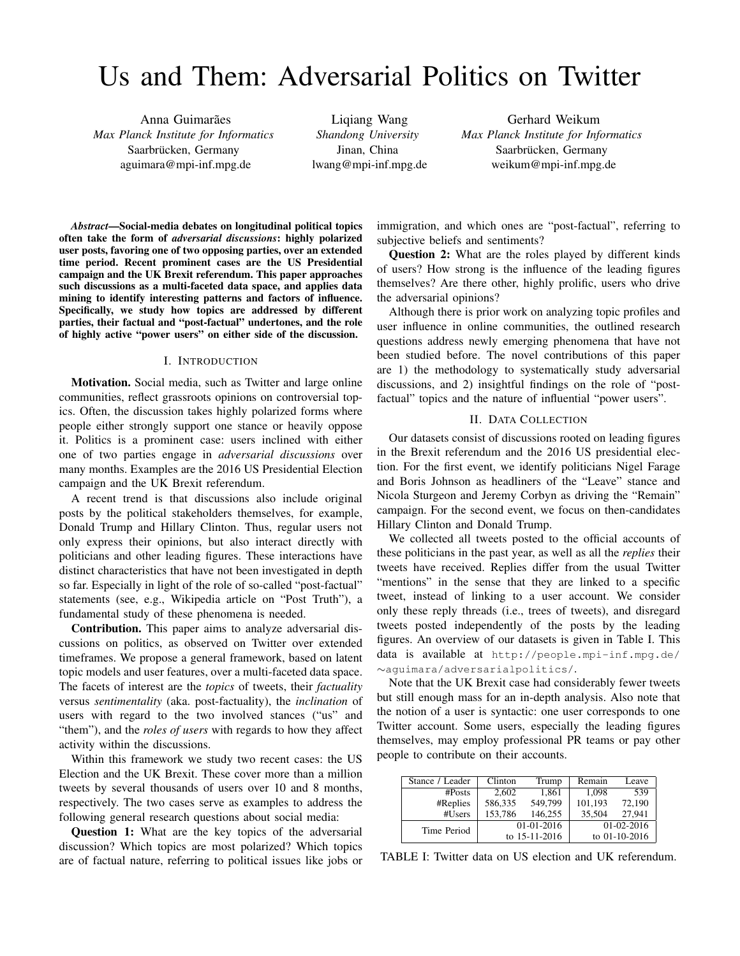# Us and Them: Adversarial Politics on Twitter

Anna Guimarães *Max Planck Institute for Informatics* Saarbrücken, Germany aguimara@mpi-inf.mpg.de

Liqiang Wang *Shandong University* Jinan, China lwang@mpi-inf.mpg.de

Gerhard Weikum *Max Planck Institute for Informatics* Saarbrücken, Germany weikum@mpi-inf.mpg.de

*Abstract*—Social-media debates on longitudinal political topics often take the form of *adversarial discussions*: highly polarized user posts, favoring one of two opposing parties, over an extended time period. Recent prominent cases are the US Presidential campaign and the UK Brexit referendum. This paper approaches such discussions as a multi-faceted data space, and applies data mining to identify interesting patterns and factors of influence. Specifically, we study how topics are addressed by different parties, their factual and "post-factual" undertones, and the role of highly active "power users" on either side of the discussion.

#### I. INTRODUCTION

Motivation. Social media, such as Twitter and large online communities, reflect grassroots opinions on controversial topics. Often, the discussion takes highly polarized forms where people either strongly support one stance or heavily oppose it. Politics is a prominent case: users inclined with either one of two parties engage in *adversarial discussions* over many months. Examples are the 2016 US Presidential Election campaign and the UK Brexit referendum.

A recent trend is that discussions also include original posts by the political stakeholders themselves, for example, Donald Trump and Hillary Clinton. Thus, regular users not only express their opinions, but also interact directly with politicians and other leading figures. These interactions have distinct characteristics that have not been investigated in depth so far. Especially in light of the role of so-called "post-factual" statements (see, e.g., Wikipedia article on "Post Truth"), a fundamental study of these phenomena is needed.

Contribution. This paper aims to analyze adversarial discussions on politics, as observed on Twitter over extended timeframes. We propose a general framework, based on latent topic models and user features, over a multi-faceted data space. The facets of interest are the *topics* of tweets, their *factuality* versus *sentimentality* (aka. post-factuality), the *inclination* of users with regard to the two involved stances ("us" and "them"), and the *roles of users* with regards to how they affect activity within the discussions.

Within this framework we study two recent cases: the US Election and the UK Brexit. These cover more than a million tweets by several thousands of users over 10 and 8 months, respectively. The two cases serve as examples to address the following general research questions about social media:

**Question 1:** What are the key topics of the adversarial discussion? Which topics are most polarized? Which topics are of factual nature, referring to political issues like jobs or immigration, and which ones are "post-factual", referring to subjective beliefs and sentiments?

Question 2: What are the roles played by different kinds of users? How strong is the influence of the leading figures themselves? Are there other, highly prolific, users who drive the adversarial opinions?

Although there is prior work on analyzing topic profiles and user influence in online communities, the outlined research questions address newly emerging phenomena that have not been studied before. The novel contributions of this paper are 1) the methodology to systematically study adversarial discussions, and 2) insightful findings on the role of "postfactual" topics and the nature of influential "power users".

#### II. DATA COLLECTION

Our datasets consist of discussions rooted on leading figures in the Brexit referendum and the 2016 US presidential election. For the first event, we identify politicians Nigel Farage and Boris Johnson as headliners of the "Leave" stance and Nicola Sturgeon and Jeremy Corbyn as driving the "Remain" campaign. For the second event, we focus on then-candidates Hillary Clinton and Donald Trump.

We collected all tweets posted to the official accounts of these politicians in the past year, as well as all the *replies* their tweets have received. Replies differ from the usual Twitter "mentions" in the sense that they are linked to a specific tweet, instead of linking to a user account. We consider only these reply threads (i.e., trees of tweets), and disregard tweets posted independently of the posts by the leading figures. An overview of our datasets is given in Table I. This data is available at http://people.mpi-inf.mpg.de/ ∼aguimara/adversarialpolitics/.

Note that the UK Brexit case had considerably fewer tweets but still enough mass for an in-depth analysis. Also note that the notion of a user is syntactic: one user corresponds to one Twitter account. Some users, especially the leading figures themselves, may employ professional PR teams or pay other people to contribute on their accounts.

| Stance / Leader | Clinton       | Trump   | Remain        | Leave  |
|-----------------|---------------|---------|---------------|--------|
| #Posts          | 2.602         | 1.861   | 1.098         | 539    |
| #Replies        | 586.335       | 549,799 | 101.193       | 72.190 |
| #Users          | 153,786       | 146,255 | 35.504        | 27.941 |
|                 | 01-01-2016    |         | $01-02-2016$  |        |
| Time Period     | to 15-11-2016 |         | to 01-10-2016 |        |

TABLE I: Twitter data on US election and UK referendum.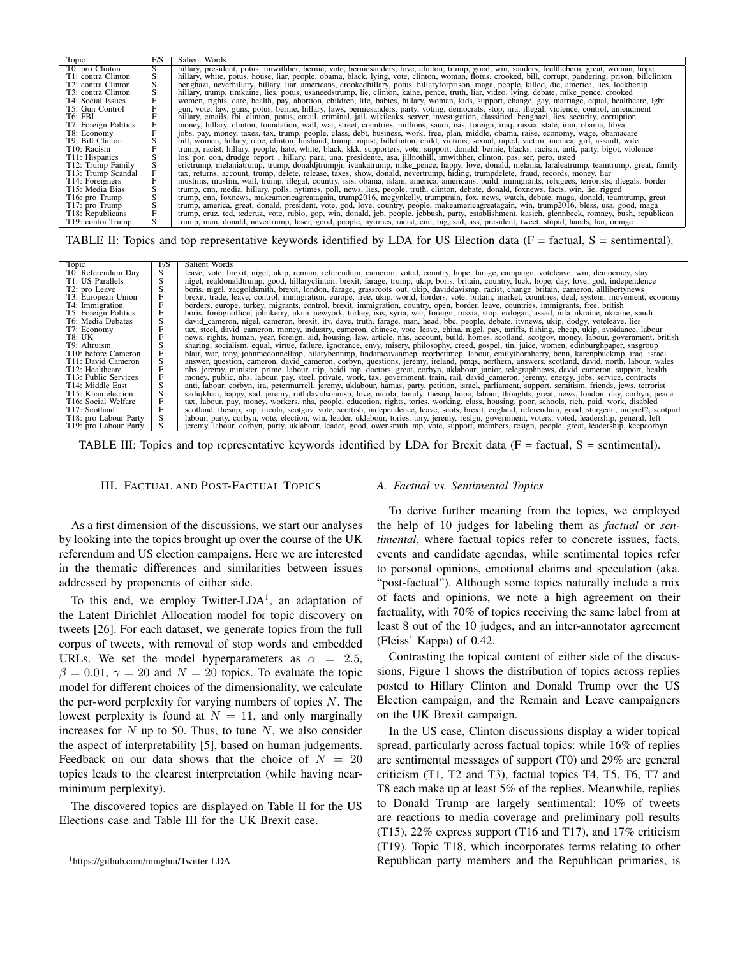| Topic                           | F/S | Salient Words                                                                                                                                         |
|---------------------------------|-----|-------------------------------------------------------------------------------------------------------------------------------------------------------|
| T0: pro Clinton                 |     | hillary, president, potus, imwithher, bernie, vote, berniesanders, love, clinton, trump, good, win, sanders, feelthebern, great, woman, hope          |
| T1: contra Clinton              |     | hillary, white, potus, house, liar, people, obama, black, lying, vote, clinton, woman, flotus, crooked, bill, corrupt, pandering, prison, billclinton |
| T2: contra Clinton              |     | benghazi, neverhillary, hillary, liar, americans, crookedhillary, potus, hillaryforprison, maga, people, killed, die, america, lies, lockherup        |
| T <sub>3</sub> : contra Clinton | э.  | hillary, trump, timkaine, lies, potus, usaneedstrump, lie, clinton, kaine, pence, truth, liar, video, lying, debate, mike pence, crooked              |
| T4: Social Issues               |     | women, rights, care, health, pay, abortion, children, life, babies, hillary, woman, kids, support, change, gay, marriage, equal, healthcare, lgbt     |
| T5: Gun Control                 |     | gun, vote, law, guns, potus, bernie, hillary, laws, berniesanders, party, voting, democrats, stop, nra, illegal, violence, control, amendment         |
| T6: FBI                         |     | hillary, emails, fbi, clinton, potus, email, criminal, jail, wikileaks, server, investigation, classified, benghazi, lies, security, corruption       |
| T7: Foreign Politics            |     | money, hillary, clinton, foundation, wall, war, street, countries, millions, saudi, isis, foreign, iraq, russia, state, iran, obama, libya            |
| T8: Economy                     |     | jobs, pay, money, taxes, tax, trump, people, class, debt, business, work, free, plan, middle, obama, raise, economy, wage, obamacare                  |
| T9: Bill Clinton                | S   | bill, women, hillary, rape, clinton, husband, trump, rapist, billclinton, child, victims, sexual, raped, victim, monica, girl, assault, wife          |
| T10: Racism                     |     | trump, racist, hillary, people, hate, white, black, kkk, supporters, vote, support, donald, bernie, blacks, racism, anti, party, bigot, violence      |
| T11: Hispanics                  | э.  | los, por, con, drudge_report_, hillary, para, una, presidente, usa, jillnothill, imwithher, clinton, pas, ser, pero, usted                            |
| T12: Trump Family               | S   | erictrump, melaniatrump, trump, donaldjtrumpjr, ivankatrump, mike_pence, happy, love, donald, melania, laraleatrump, teamtrump, great, family         |
| T13: Trump Scandal              |     | tax, returns, account, trump, delete, release, taxes, show, donald, nevertrump, hiding, trumpdelete, fraud, records, money, liar                      |
| T14: Foreigners                 |     | muslims, muslim, wall, trump, illegal, country, isis, obama, islam, america, americans, build, immigrants, refugees, terrorists, illegals, border     |
| T <sub>15</sub> : Media Bias    | S   | trump, cnn, media, hillary, polls, nytimes, poll, news, lies, people, truth, clinton, debate, donald, foxnews, facts, win, lie, rigged                |
| T <sub>16</sub> : pro Trump     | э.  | trump, cnn, foxnews, makeamericagreatagain, trump2016, megynkelly, trumptrain, fox, news, watch, debate, maga, donald, teamtrump, great               |
| T17: pro Trump                  | S   | trump, america, great, donald, president, vote, god, love, country, people, makeamericagreatagain, win, trump2016, bless, usa, good, maga             |
| T18: Republicans                |     | trump, cruz, ted, tedcruz, vote, rubio, gop, win, donald, jeb, people, jebbush, party, establishment, kasich, glennbeck, romney, bush, republican     |
| T19: contra Trump               |     | trump, man, donald, nevertrump, loser, good, people, nytimes, racist, cnn, big, sad, ass, president, tweet, stupid, hands, liar, orange               |

TABLE II: Topics and top representative keywords identified by LDA for US Election data ( $F =$  factual,  $S =$  sentimental).

| Topic                      | F/S | Salient Words                                                                                                                                       |
|----------------------------|-----|-----------------------------------------------------------------------------------------------------------------------------------------------------|
| T0: Referendum Day         |     | leave, vote, brexit, nigel, ukip, remain, referendum, cameron, voted, country, hope, farage, campaign, voteleave, win, democracy, stay              |
| T1: US Parallels           |     | nigel, realdonaldtrump, good, hillaryclinton, brexit, farage, trump, ukip, boris, britain, country, luck, hope, day, love, god, independence        |
| T <sub>2</sub> : pro Leave |     | boris, nigel, zacgoldsmith, brexit, london, farage, grassroots_out, ukip, daviddavismp, racist, change_britain, cameron, alllibertynews             |
| T3: European Union         |     | brexit, trade, leave, control, immigration, europe, free, ukip, world, borders, vote, britain, market, countries, deal, system, movement, economy   |
| T4: Immigration            |     | borders, europe, turkey, migrants, control, brexit, immigration, country, open, border, leave, countries, immigrants, free, british                 |
| T5: Foreign Politics       |     | boris, foreignoffice, johnkerry, ukun_newyork, turkey, isis, syria, war, foreign, russia, stop, erdogan, assad, mfa_ukraine, ukraine, saudi         |
| T6: Media Debates          |     | david_cameron, nigel, cameron, brexit, itv, dave, truth, farage, man, head, bbc, people, debate, itvnews, ukip, dodgy, voteleave, lies              |
| T7: Economy                |     | tax, steel, david cameron, money, industry, cameron, chinese, vote leave, china, nigel, pay, tariffs, fishing, cheap, ukip, avoidance, labour       |
| T8: UK                     |     | news, rights, human, year, foreign, aid, housing, law, article, nhs, account, build, homes, scotland, scotgov, money, labour, government, british   |
| T9: Altruism               |     | sharing, socialism, equal, virtue, failure, ignorance, envy, misery, philosophy, creed, gospel, tin, juice, women, edinburghpaper, snsgroup         |
| T10: before Cameron        |     | blair, war, tony, johnmcdonnellmp, hilarybennmp, lindamcavanmep, rcorbettmep, labour, emilythornberry, benn, karenpbuckmp, iraq, israel             |
| T11: David Cameron         |     | answer, question, cameron, david_cameron, corbyn, questions, jeremy, ireland, pmqs, northern, answers, scotland, david, north, labour, wales        |
| T12: Healthcare            |     | nhs, jeremy, minister, prime, labour, ttip, heidi_mp, doctors, great, corbyn, uklabour, junior, telegraphnews, david_cameron, support, health       |
| T13: Public Services       |     | money, public, nhs, labour, pay, steel, private, work, tax, government, train, rail, david_cameron, jeremy, energy, jobs, service, contracts        |
| T14: Middle East           |     | anti, labour, corbyn, ira, petermurrell, jeremy, uklabour, hamas, party, petition, israel, parliament, support, semitism, friends, jews, terrorist  |
| T15: Khan election         |     | sadiqkhan, happy, sad, jeremy, ruthdavidsonmsp, love, nicola, family, thesnp, hope, labour, thoughts, great, news, london, day, corbyn, peace       |
| T16: Social Welfare        |     | tax, labour, pay, money, workers, nhs, people, education, rights, tories, working, class, housing, poor, schools, rich, paid, work, disabled        |
| T17: Scotland              |     | scotland, thesnp, snp, nicola, scotgov, vote, scottish, independence, leave, scots, brexit, england, referendum, good, sturgeon, indyref2, scotparl |
| T18: pro Labour Party      |     | labour, party, corbyn, vote, election, win, leader, uklabour, tories, tory, jeremy, resign, government, voters, voted, leadership, general, left    |
| T19: pro Labour Party      |     | jeremy, labour, corbyn, party, uklabour, leader, good, owensmith_mp, vote, support, members, resign, people, great, leadership, keepcorbyn          |

TABLE III: Topics and top representative keywords identified by LDA for Brexit data ( $F =$  factual,  $S =$  sentimental).

## III. FACTUAL AND POST-FACTUAL TOPICS

As a first dimension of the discussions, we start our analyses by looking into the topics brought up over the course of the UK referendum and US election campaigns. Here we are interested in the thematic differences and similarities between issues addressed by proponents of either side.

To this end, we employ Twitter-LDA<sup>1</sup>, an adaptation of the Latent Dirichlet Allocation model for topic discovery on tweets [26]. For each dataset, we generate topics from the full corpus of tweets, with removal of stop words and embedded URLs. We set the model hyperparameters as  $\alpha = 2.5$ ,  $\beta = 0.01$ ,  $\gamma = 20$  and  $N = 20$  topics. To evaluate the topic model for different choices of the dimensionality, we calculate the per-word perplexity for varying numbers of topics  $N$ . The lowest perplexity is found at  $N = 11$ , and only marginally increases for  $N$  up to 50. Thus, to tune  $N$ , we also consider the aspect of interpretability [5], based on human judgements. Feedback on our data shows that the choice of  $N = 20$ topics leads to the clearest interpretation (while having nearminimum perplexity).

The discovered topics are displayed on Table II for the US Elections case and Table III for the UK Brexit case.

#### *A. Factual vs. Sentimental Topics*

To derive further meaning from the topics, we employed the help of 10 judges for labeling them as *factual* or *sentimental*, where factual topics refer to concrete issues, facts, events and candidate agendas, while sentimental topics refer to personal opinions, emotional claims and speculation (aka. "post-factual"). Although some topics naturally include a mix of facts and opinions, we note a high agreement on their factuality, with 70% of topics receiving the same label from at least 8 out of the 10 judges, and an inter-annotator agreement (Fleiss' Kappa) of 0.42.

Contrasting the topical content of either side of the discussions, Figure 1 shows the distribution of topics across replies posted to Hillary Clinton and Donald Trump over the US Election campaign, and the Remain and Leave campaigners on the UK Brexit campaign.

In the US case, Clinton discussions display a wider topical spread, particularly across factual topics: while 16% of replies are sentimental messages of support (T0) and 29% are general criticism (T1, T2 and T3), factual topics T4, T5, T6, T7 and T8 each make up at least 5% of the replies. Meanwhile, replies to Donald Trump are largely sentimental: 10% of tweets are reactions to media coverage and preliminary poll results (T15), 22% express support (T16 and T17), and 17% criticism (T19). Topic T18, which incorporates terms relating to other Republican party members and the Republican primaries, is

<sup>1</sup>https://github.com/minghui/Twitter-LDA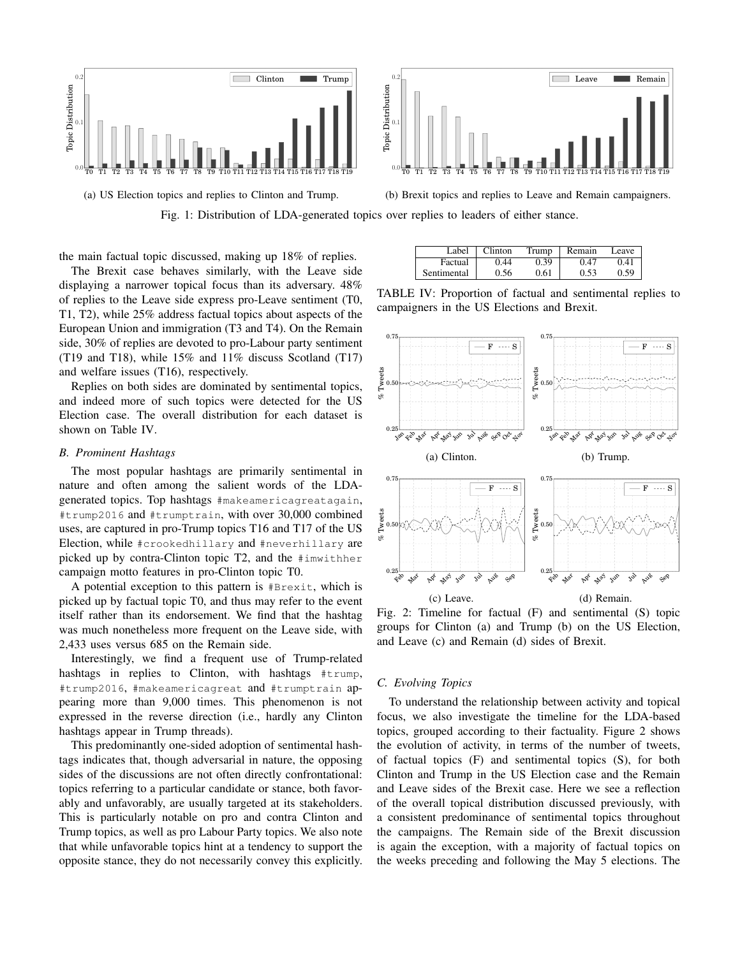

(a) US Election topics and replies to Clinton and Trump.

Fig. 1: Distribution of LDA-generated topics over replies to leaders of either stance.

the main factual topic discussed, making up 18% of replies.

The Brexit case behaves similarly, with the Leave side displaying a narrower topical focus than its adversary. 48% of replies to the Leave side express pro-Leave sentiment (T0, T1, T2), while 25% address factual topics about aspects of the European Union and immigration (T3 and T4). On the Remain side, 30% of replies are devoted to pro-Labour party sentiment (T19 and T18), while 15% and 11% discuss Scotland (T17) and welfare issues (T16), respectively.

Replies on both sides are dominated by sentimental topics, and indeed more of such topics were detected for the US Election case. The overall distribution for each dataset is shown on Table IV.

## *B. Prominent Hashtags*

The most popular hashtags are primarily sentimental in nature and often among the salient words of the LDAgenerated topics. Top hashtags #makeamericagreatagain, #trump2016 and #trumptrain, with over 30,000 combined uses, are captured in pro-Trump topics T16 and T17 of the US Election, while #crookedhillary and #neverhillary are picked up by contra-Clinton topic T2, and the #imwithher campaign motto features in pro-Clinton topic T0.

A potential exception to this pattern is #Brexit, which is picked up by factual topic T0, and thus may refer to the event itself rather than its endorsement. We find that the hashtag was much nonetheless more frequent on the Leave side, with 2,433 uses versus 685 on the Remain side.

Interestingly, we find a frequent use of Trump-related hashtags in replies to Clinton, with hashtags #trump, #trump2016, #makeamericagreat and #trumptrain appearing more than 9,000 times. This phenomenon is not expressed in the reverse direction (i.e., hardly any Clinton hashtags appear in Trump threads).

This predominantly one-sided adoption of sentimental hashtags indicates that, though adversarial in nature, the opposing sides of the discussions are not often directly confrontational: topics referring to a particular candidate or stance, both favorably and unfavorably, are usually targeted at its stakeholders. This is particularly notable on pro and contra Clinton and Trump topics, as well as pro Labour Party topics. We also note that while unfavorable topics hint at a tendency to support the opposite stance, they do not necessarily convey this explicitly.



(b) Brexit topics and replies to Leave and Remain campaigners.

| Label       | Clinton | Trump | Remain | Leave |
|-------------|---------|-------|--------|-------|
| Factual     | ).44    | 0.39  | ነ 47   | ን.4ነ  |
| Sentimental | 0.56    | 0.61  | 0.53   | 0.59  |

TABLE IV: Proportion of factual and sentimental replies to campaigners in the US Elections and Brexit.



Fig. 2: Timeline for factual (F) and sentimental (S) topic groups for Clinton (a) and Trump (b) on the US Election, and Leave (c) and Remain (d) sides of Brexit.

# *C. Evolving Topics*

To understand the relationship between activity and topical focus, we also investigate the timeline for the LDA-based topics, grouped according to their factuality. Figure 2 shows the evolution of activity, in terms of the number of tweets, of factual topics (F) and sentimental topics (S), for both Clinton and Trump in the US Election case and the Remain and Leave sides of the Brexit case. Here we see a reflection of the overall topical distribution discussed previously, with a consistent predominance of sentimental topics throughout the campaigns. The Remain side of the Brexit discussion is again the exception, with a majority of factual topics on the weeks preceding and following the May 5 elections. The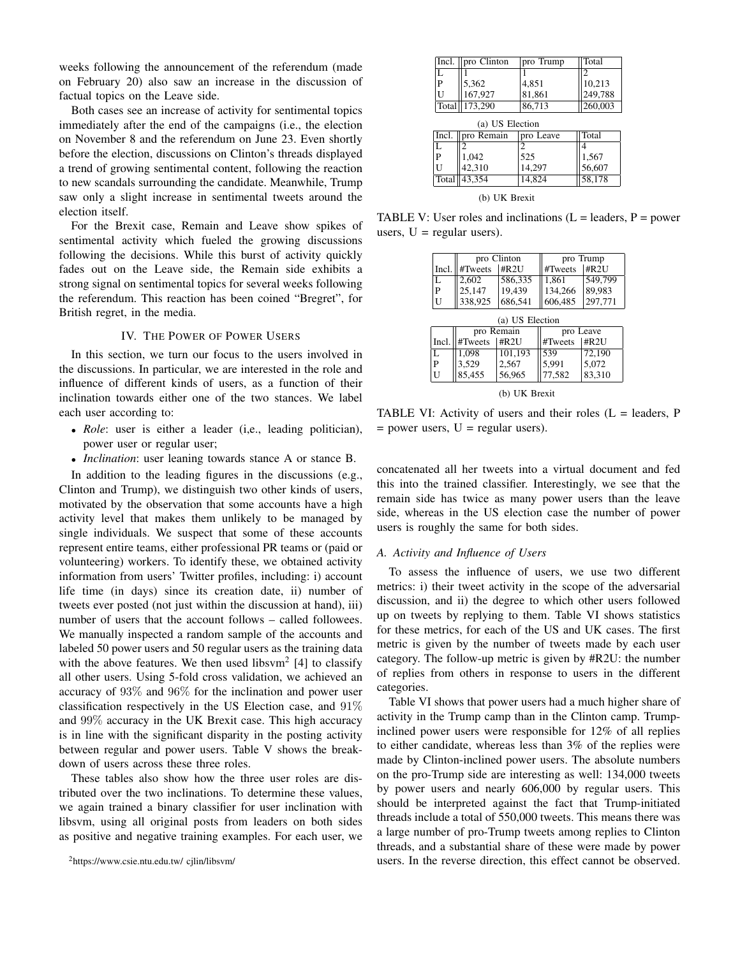weeks following the announcement of the referendum (made on February 20) also saw an increase in the discussion of factual topics on the Leave side.

Both cases see an increase of activity for sentimental topics immediately after the end of the campaigns (i.e., the election on November 8 and the referendum on June 23. Even shortly before the election, discussions on Clinton's threads displayed a trend of growing sentimental content, following the reaction to new scandals surrounding the candidate. Meanwhile, Trump saw only a slight increase in sentimental tweets around the election itself.

For the Brexit case, Remain and Leave show spikes of sentimental activity which fueled the growing discussions following the decisions. While this burst of activity quickly fades out on the Leave side, the Remain side exhibits a strong signal on sentimental topics for several weeks following the referendum. This reaction has been coined "Bregret", for British regret, in the media.

### IV. THE POWER OF POWER USERS

In this section, we turn our focus to the users involved in the discussions. In particular, we are interested in the role and influence of different kinds of users, as a function of their inclination towards either one of the two stances. We label each user according to:

- *Role*: user is either a leader (i,e., leading politician), power user or regular user;
- *Inclination*: user leaning towards stance A or stance B.

In addition to the leading figures in the discussions (e.g., Clinton and Trump), we distinguish two other kinds of users, motivated by the observation that some accounts have a high activity level that makes them unlikely to be managed by single individuals. We suspect that some of these accounts represent entire teams, either professional PR teams or (paid or volunteering) workers. To identify these, we obtained activity information from users' Twitter profiles, including: i) account life time (in days) since its creation date, ii) number of tweets ever posted (not just within the discussion at hand), iii) number of users that the account follows – called followees. We manually inspected a random sample of the accounts and labeled 50 power users and 50 regular users as the training data with the above features. We then used libsvm<sup>2</sup> [4] to classify all other users. Using 5-fold cross validation, we achieved an accuracy of 93% and 96% for the inclination and power user classification respectively in the US Election case, and 91% and 99% accuracy in the UK Brexit case. This high accuracy is in line with the significant disparity in the posting activity between regular and power users. Table V shows the breakdown of users across these three roles.

These tables also show how the three user roles are distributed over the two inclinations. To determine these values, we again trained a binary classifier for user inclination with libsvm, using all original posts from leaders on both sides as positive and negative training examples. For each user, we

| Incl.              | pro Clinton     | pro Trump | Total   |
|--------------------|-----------------|-----------|---------|
| L                  |                 |           |         |
| P                  | 5,362           | 4,851     | 10,213  |
| $\mathbf{U}$       | 167,927         | 81,861    | 249,788 |
| Total <sup> </sup> | 173,290         | 86,713    | 260,003 |
|                    | (a) US Election |           |         |
| Incl.              | pro Remain      | pro Leave | Total   |
| L                  |                 |           |         |
| P                  | 1,042           | 525       | 1,567   |
| U                  | 42,310          | 14,297    | 56,607  |
| Total              | 43,354          | 14,824    | 58,178  |
|                    |                 |           |         |

(b) UK Brexit

TABLE V: User roles and inclinations  $(L = \text{ leaders}, P = \text{power})$ users,  $U =$  regular users).

|                               | pro Clinton |         | pro Trump |         |  |
|-------------------------------|-------------|---------|-----------|---------|--|
| Incl.                         | #Tweets     | #R2U    | #Tweets   | #R2U    |  |
| L                             | 2,602       | 586,335 | 1,861     | 549,799 |  |
| P                             | 25,147      | 19,439  | 134,266   | 89,983  |  |
| U                             | 338,925     | 686,541 | 606,485   | 297,771 |  |
| (a) US Election<br>pro Remain |             |         | pro Leave |         |  |
| Incl.                         | #Tweets     |         |           |         |  |
|                               |             | #R2U    | #Tweets   | #R2U    |  |
| L                             | 1,098       | 101,193 | 539       | 72,190  |  |
| P                             | 3,529       | 2,567   | 5.991     | 5,072   |  |
| U                             | 85,455      | 56,965  | 77,582    | 83,310  |  |

TABLE VI: Activity of users and their roles  $(L =$  leaders, P  $=$  power users, U  $=$  regular users).

concatenated all her tweets into a virtual document and fed this into the trained classifier. Interestingly, we see that the remain side has twice as many power users than the leave side, whereas in the US election case the number of power users is roughly the same for both sides.

#### *A. Activity and Influence of Users*

To assess the influence of users, we use two different metrics: i) their tweet activity in the scope of the adversarial discussion, and ii) the degree to which other users followed up on tweets by replying to them. Table VI shows statistics for these metrics, for each of the US and UK cases. The first metric is given by the number of tweets made by each user category. The follow-up metric is given by #R2U: the number of replies from others in response to users in the different categories.

Table VI shows that power users had a much higher share of activity in the Trump camp than in the Clinton camp. Trumpinclined power users were responsible for 12% of all replies to either candidate, whereas less than 3% of the replies were made by Clinton-inclined power users. The absolute numbers on the pro-Trump side are interesting as well: 134,000 tweets by power users and nearly 606,000 by regular users. This should be interpreted against the fact that Trump-initiated threads include a total of 550,000 tweets. This means there was a large number of pro-Trump tweets among replies to Clinton threads, and a substantial share of these were made by power users. In the reverse direction, this effect cannot be observed.

<sup>2</sup>https://www.csie.ntu.edu.tw/ cjlin/libsvm/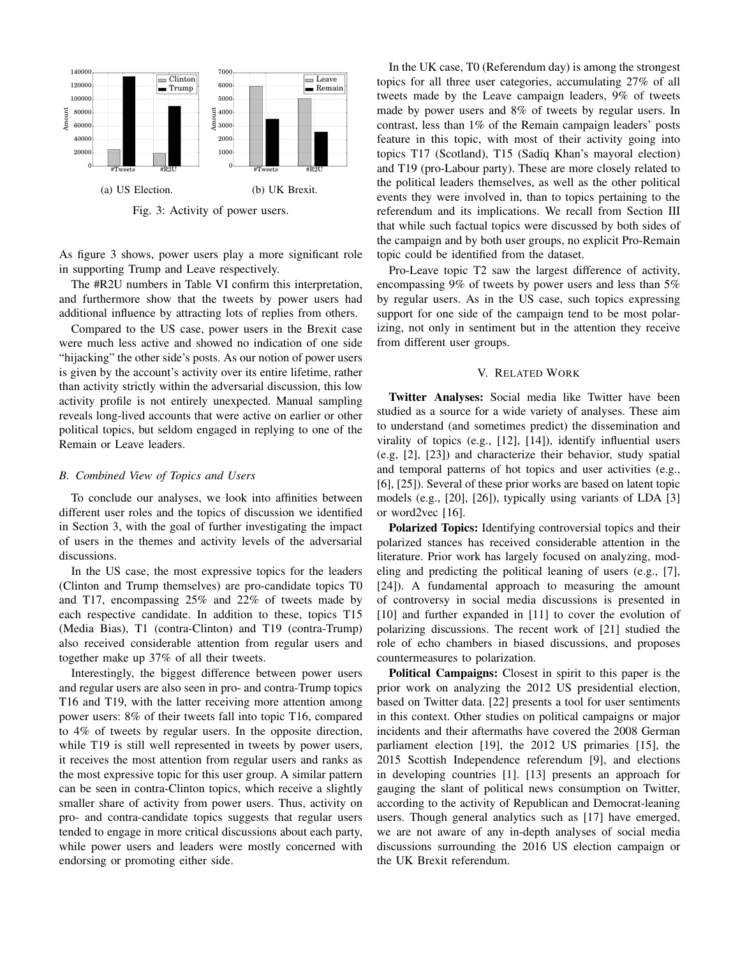

Fig. 3: Activity of power users.

As figure 3 shows, power users play a more significant role in supporting Trump and Leave respectively.

The #R2U numbers in Table VI confirm this interpretation, and furthermore show that the tweets by power users had additional influence by attracting lots of replies from others.

Compared to the US case, power users in the Brexit case were much less active and showed no indication of one side "hijacking" the other side's posts. As our notion of power users is given by the account's activity over its entire lifetime, rather than activity strictly within the adversarial discussion, this low activity profile is not entirely unexpected. Manual sampling reveals long-lived accounts that were active on earlier or other political topics, but seldom engaged in replying to one of the Remain or Leave leaders.

### *B. Combined View of Topics and Users*

To conclude our analyses, we look into affinities between different user roles and the topics of discussion we identified in Section 3, with the goal of further investigating the impact of users in the themes and activity levels of the adversarial discussions.

In the US case, the most expressive topics for the leaders (Clinton and Trump themselves) are pro-candidate topics T0 and T17, encompassing 25% and 22% of tweets made by each respective candidate. In addition to these, topics T15 (Media Bias), T1 (contra-Clinton) and T19 (contra-Trump) also received considerable attention from regular users and together make up 37% of all their tweets.

Interestingly, the biggest difference between power users and regular users are also seen in pro- and contra-Trump topics T16 and T19, with the latter receiving more attention among power users: 8% of their tweets fall into topic T16, compared to 4% of tweets by regular users. In the opposite direction, while T19 is still well represented in tweets by power users, it receives the most attention from regular users and ranks as the most expressive topic for this user group. A similar pattern can be seen in contra-Clinton topics, which receive a slightly smaller share of activity from power users. Thus, activity on pro- and contra-candidate topics suggests that regular users tended to engage in more critical discussions about each party, while power users and leaders were mostly concerned with endorsing or promoting either side.

In the UK case, T0 (Referendum day) is among the strongest topics for all three user categories, accumulating 27% of all tweets made by the Leave campaign leaders, 9% of tweets made by power users and 8% of tweets by regular users. In contrast, less than 1% of the Remain campaign leaders' posts feature in this topic, with most of their activity going into topics T17 (Scotland), T15 (Sadiq Khan's mayoral election) and T19 (pro-Labour party). These are more closely related to the political leaders themselves, as well as the other political events they were involved in, than to topics pertaining to the referendum and its implications. We recall from Section III that while such factual topics were discussed by both sides of the campaign and by both user groups, no explicit Pro-Remain topic could be identified from the dataset.

Pro-Leave topic T2 saw the largest difference of activity, encompassing 9% of tweets by power users and less than 5% by regular users. As in the US case, such topics expressing support for one side of the campaign tend to be most polarizing, not only in sentiment but in the attention they receive from different user groups.

# V. RELATED WORK

Twitter Analyses: Social media like Twitter have been studied as a source for a wide variety of analyses. These aim to understand (and sometimes predict) the dissemination and virality of topics (e.g., [12], [14]), identify influential users (e.g, [2], [23]) and characterize their behavior, study spatial and temporal patterns of hot topics and user activities (e.g., [6], [25]). Several of these prior works are based on latent topic models (e.g., [20], [26]), typically using variants of LDA [3] or word2vec [16].

Polarized Topics: Identifying controversial topics and their polarized stances has received considerable attention in the literature. Prior work has largely focused on analyzing, modeling and predicting the political leaning of users (e.g., [7], [24]). A fundamental approach to measuring the amount of controversy in social media discussions is presented in [10] and further expanded in [11] to cover the evolution of polarizing discussions. The recent work of [21] studied the role of echo chambers in biased discussions, and proposes countermeasures to polarization.

Political Campaigns: Closest in spirit to this paper is the prior work on analyzing the 2012 US presidential election, based on Twitter data. [22] presents a tool for user sentiments in this context. Other studies on political campaigns or major incidents and their aftermaths have covered the 2008 German parliament election [19], the 2012 US primaries [15], the 2015 Scottish Independence referendum [9], and elections in developing countries [1]. [13] presents an approach for gauging the slant of political news consumption on Twitter, according to the activity of Republican and Democrat-leaning users. Though general analytics such as [17] have emerged, we are not aware of any in-depth analyses of social media discussions surrounding the 2016 US election campaign or the UK Brexit referendum.